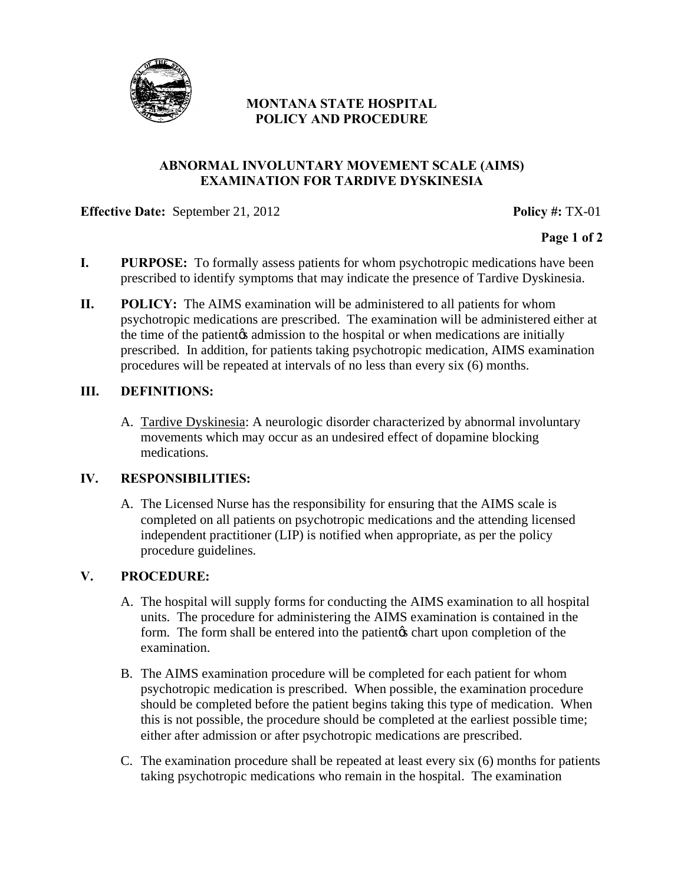

# **MONTANA STATE HOSPITAL POLICY AND PROCEDURE**

#### **ABNORMAL INVOLUNTARY MOVEMENT SCALE (AIMS) EXAMINATION FOR TARDIVE DYSKINESIA**

#### **Effective Date:** September 21, 2012<br>**Policy #: TX-01**

**Page 1 of 2** 

- **I. PURPOSE:** To formally assess patients for whom psychotropic medications have been prescribed to identify symptoms that may indicate the presence of Tardive Dyskinesia.
- **II. POLICY:** The AIMS examination will be administered to all patients for whom psychotropic medications are prescribed. The examination will be administered either at the time of the patient the admission to the hospital or when medications are initially prescribed. In addition, for patients taking psychotropic medication, AIMS examination procedures will be repeated at intervals of no less than every six (6) months.

#### **III. DEFINITIONS:**

A. Tardive Dyskinesia: A neurologic disorder characterized by abnormal involuntary movements which may occur as an undesired effect of dopamine blocking medications.

## **IV. RESPONSIBILITIES:**

A. The Licensed Nurse has the responsibility for ensuring that the AIMS scale is completed on all patients on psychotropic medications and the attending licensed independent practitioner (LIP) is notified when appropriate, as per the policy procedure guidelines.

## **V. PROCEDURE:**

- A. The hospital will supply forms for conducting the AIMS examination to all hospital units. The procedure for administering the AIMS examination is contained in the form. The form shall be entered into the patient the chart upon completion of the examination.
- B. The AIMS examination procedure will be completed for each patient for whom psychotropic medication is prescribed. When possible, the examination procedure should be completed before the patient begins taking this type of medication. When this is not possible, the procedure should be completed at the earliest possible time; either after admission or after psychotropic medications are prescribed.
- C. The examination procedure shall be repeated at least every six (6) months for patients taking psychotropic medications who remain in the hospital. The examination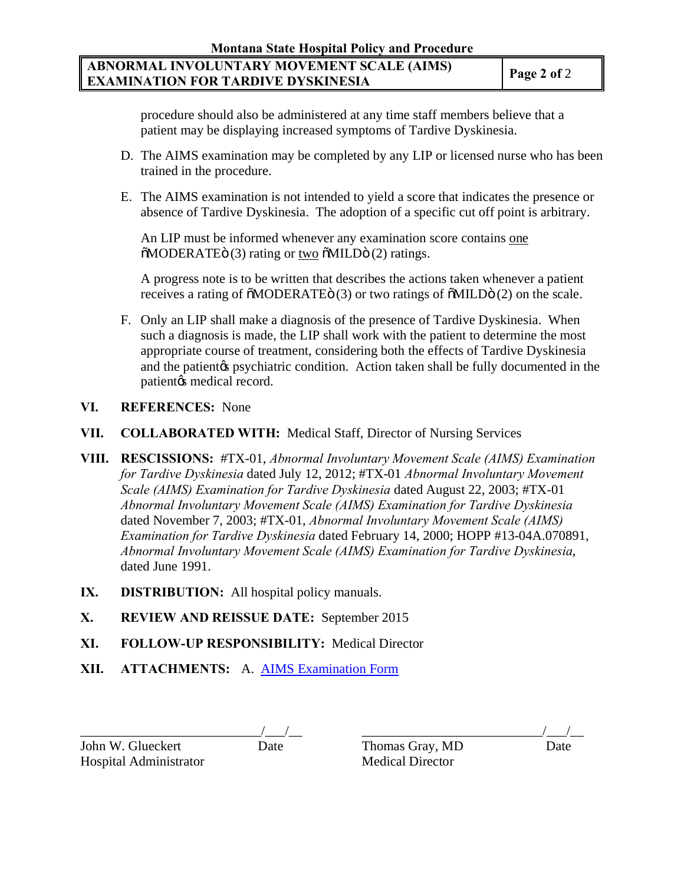# **ABNORMAL INVOLUNTARY MOVEMENT SCALE (AIMS) EXAMINATION FOR TARDIVE DYSKINESIA Page 2 of 2**

procedure should also be administered at any time staff members believe that a patient may be displaying increased symptoms of Tardive Dyskinesia.

- D. The AIMS examination may be completed by any LIP or licensed nurse who has been trained in the procedure.
- E. The AIMS examination is not intended to yield a score that indicates the presence or absence of Tardive Dyskinesia. The adoption of a specific cut off point is arbitrary.

An LIP must be informed whenever any examination score contains one  $\tilde{\text{o}}$ MODERATE<sub>Ö</sub> (3) rating or <u>two</u>  $\tilde{\text{o}}$ MILD<sub>Ö</sub> (2) ratings.

A progress note is to be written that describes the actions taken whenever a patient receives a rating of  $\delta MODERATE$  $\ddot{\sigma}$  (3) or two ratings of  $\delta MILD\ddot{\sigma}$  (2) on the scale.

F. Only an LIP shall make a diagnosis of the presence of Tardive Dyskinesia. When such a diagnosis is made, the LIP shall work with the patient to determine the most appropriate course of treatment, considering both the effects of Tardive Dyskinesia and the patient the psychiatric condition. Action taken shall be fully documented in the patient $\alpha$  medical record.

## **VI. REFERENCES:** None

- **VII. COLLABORATED WITH:** Medical Staff, Director of Nursing Services
- **VIII. RESCISSIONS:** #TX-01, *Abnormal Involuntary Movement Scale (AIMS) Examination for Tardive Dyskinesia* dated July 12, 2012; #TX-01 *Abnormal Involuntary Movement Scale (AIMS) Examination for Tardive Dyskinesia* dated August 22, 2003; #TX-01 *Abnormal Involuntary Movement Scale (AIMS) Examination for Tardive Dyskinesia*  dated November 7, 2003; #TX-01, *Abnormal Involuntary Movement Scale (AIMS) Examination for Tardive Dyskinesia* dated February 14, 2000; HOPP #13-04A.070891, *Abnormal Involuntary Movement Scale (AIMS) Examination for Tardive Dyskinesia*, dated June 1991.
- **IX. DISTRIBUTION:** All hospital policy manuals.
- **X. REVIEW AND REISSUE DATE:** September 2015
- **XI. FOLLOW-UP RESPONSIBILITY:** Medical Director
- **XII. ATTACHMENTS:** A. AIMS Examination Form

John W. Glueckert Date Thomas Gray, MD Date Hospital Administrator Medical Director

\_\_\_\_\_\_\_\_\_\_\_\_\_\_\_\_\_\_\_\_\_\_\_\_\_\_\_/\_\_\_/\_\_ \_\_\_\_\_\_\_\_\_\_\_\_\_\_\_\_\_\_\_\_\_\_\_\_\_\_\_/\_\_\_/\_\_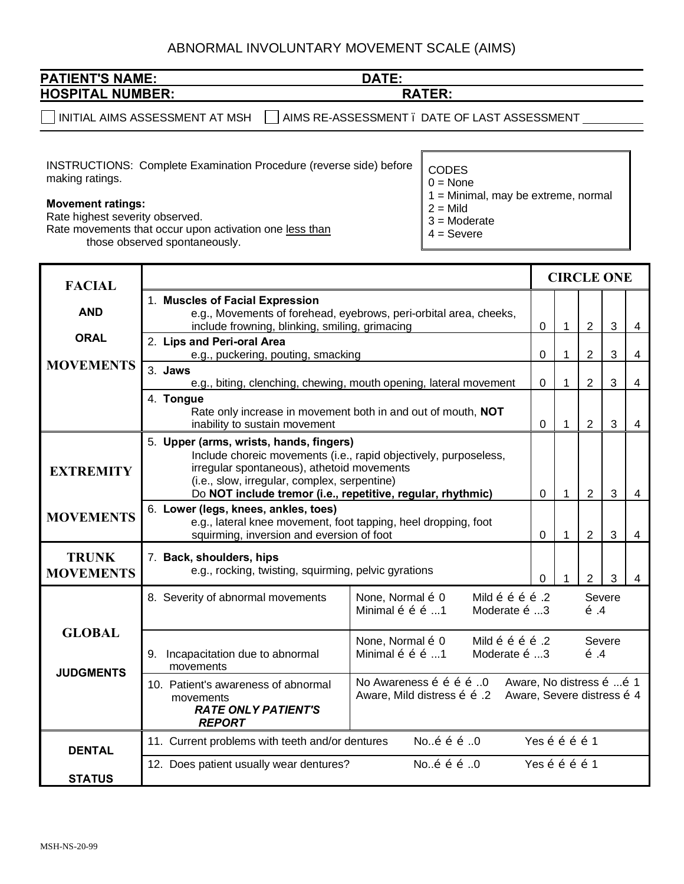# ABNORMAL INVOLUNTARY MOVEMENT SCALE (AIMS)

| <b>NAME:</b><br><b>PATIENT</b><br>'S | DATE:      |
|--------------------------------------|------------|
| <b>NUMBER:</b><br><b>HOSPITAL</b>    | TCD.<br>PΛ |
|                                      |            |

 $\Box$  INITIAL AIMS ASSESSMENT AT MSH  $\quad \Box$  AIMS RE-ASSESSMENT . DATE OF LAST ASSESSMENT  $\_\_$ 

INSTRUCTIONS: Complete Examination Procedure (reverse side) before making ratings.

#### **Movement ratings:**

Rate highest severity observed. Rate movements that occur upon activation one less than those observed spontaneously.

CODES

 $0 = \text{None}$ 

1 = Minimal, may be extreme, normal

 $2 =$  Mild

- 3 = Moderate
- 4 = Severe

| <b>FACIAL</b>                     |                                                                                                                                                                                                                                                                                                                           |                                                                                                                                                                    | <b>CIRCLE ONE</b> |                          |                |              |   |
|-----------------------------------|---------------------------------------------------------------------------------------------------------------------------------------------------------------------------------------------------------------------------------------------------------------------------------------------------------------------------|--------------------------------------------------------------------------------------------------------------------------------------------------------------------|-------------------|--------------------------|----------------|--------------|---|
|                                   | 1. Muscles of Facial Expression                                                                                                                                                                                                                                                                                           |                                                                                                                                                                    |                   |                          |                |              |   |
| <b>AND</b>                        | e.g., Movements of forehead, eyebrows, peri-orbital area, cheeks,<br>include frowning, blinking, smiling, grimacing                                                                                                                                                                                                       |                                                                                                                                                                    | 0                 | $\mathbf{1}$             | $\overline{2}$ | 3            | 4 |
| <b>ORAL</b>                       | 2. Lips and Peri-oral Area                                                                                                                                                                                                                                                                                                |                                                                                                                                                                    |                   |                          |                |              |   |
|                                   | e.g., puckering, pouting, smacking                                                                                                                                                                                                                                                                                        |                                                                                                                                                                    | 0                 | 1                        | $\overline{2}$ | $\mathbf{3}$ | 4 |
| <b>MOVEMENTS</b>                  | 3. Jaws                                                                                                                                                                                                                                                                                                                   |                                                                                                                                                                    |                   |                          |                |              |   |
|                                   | e.g., biting, clenching, chewing, mouth opening, lateral movement<br>4. Tongue                                                                                                                                                                                                                                            |                                                                                                                                                                    | 0                 | $\mathbf{1}$             | $\overline{2}$ | $\mathbf{3}$ | 4 |
|                                   | Rate only increase in movement both in and out of mouth, NOT<br>inability to sustain movement                                                                                                                                                                                                                             |                                                                                                                                                                    | $\mathbf 0$       | $\mathbf{1}$             | $\overline{2}$ | 3            | 4 |
| <b>EXTREMITY</b>                  | 5. Upper (arms, wrists, hands, fingers)<br>Include choreic movements (i.e., rapid objectively, purposeless,<br>irregular spontaneous), athetoid movements<br>(i.e., slow, irregular, complex, serpentine)<br>Do NOT include tremor (i.e., repetitive, regular, rhythmic)<br>$\mathbf{1}$<br>$\overline{2}$<br>$\mathbf 0$ |                                                                                                                                                                    |                   |                          |                | $\mathbf{3}$ | 4 |
| <b>MOVEMENTS</b>                  | 6. Lower (legs, knees, ankles, toes)<br>e.g., lateral knee movement, foot tapping, heel dropping, foot<br>squirming, inversion and eversion of foot                                                                                                                                                                       |                                                                                                                                                                    |                   | $\mathbf{1}$             | $\overline{2}$ | 3            | 4 |
| <b>TRUNK</b><br><b>MOVEMENTS</b>  | 7. Back, shoulders, hips<br>e.g., rocking, twisting, squirming, pelvic gyrations                                                                                                                                                                                                                                          |                                                                                                                                                                    | 0                 | 1                        | 2              | 3            | 4 |
|                                   | 8. Severity of abnormal movements                                                                                                                                                                                                                                                                                         | None, Normal $\tilde{o}$ 0<br>Mild õ õ õ õ .2<br>Severe<br>Minimal $\ddot{\rm o}$ $\ddot{\rm o}$ $\ddot{\rm o}$ 1<br>Moderate $\tilde{o}$ 3<br>$\tilde{o}$ .4      |                   |                          |                |              |   |
| <b>GLOBAL</b><br><b>JUDGMENTS</b> | None, Normal $\tilde{o}$ 0<br>Mild õ õ õ õ .2<br>Minimal õ õ õ 1<br>9. Incapacitation due to abnormal<br>Moderate $\tilde{o}$ 3<br>movements                                                                                                                                                                              |                                                                                                                                                                    |                   | Severe<br>$\tilde{o}$ .4 |                |              |   |
|                                   | 10. Patient's awareness of abnormal<br>movements<br><b>RATE ONLY PATIENT'S</b><br><b>REPORT</b>                                                                                                                                                                                                                           | No Awareness $\tilde{o}$ $\tilde{o}$ $\tilde{o}$ $\tilde{o}$ 0<br>Aware, No distress õ  õ 1<br>Aware, Severe distress õ 4<br>Aware, Mild distress $\tilde{o}$ o .2 |                   |                          |                |              |   |
| <b>DENTAL</b>                     | Noõ õ õ 0<br>11. Current problems with teeth and/or dentures                                                                                                                                                                                                                                                              |                                                                                                                                                                    | Yes õ õ õ õ 1     |                          |                |              |   |
| <b>STATUS</b>                     | 12. Does patient usually wear dentures?                                                                                                                                                                                                                                                                                   | Noõ õ õ 0                                                                                                                                                          | Yes õ õ õ õ 1     |                          |                |              |   |